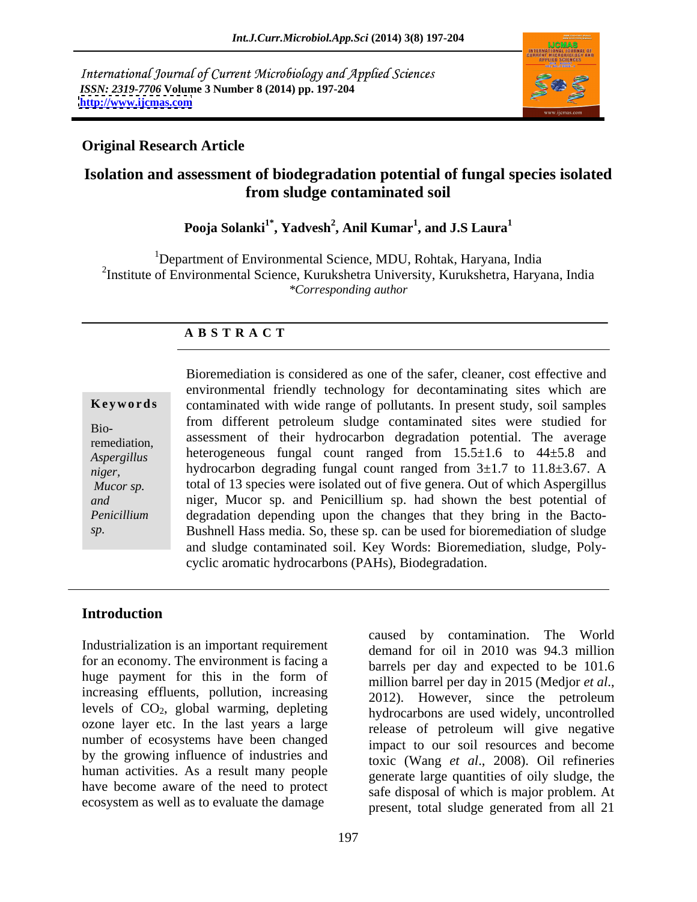International Journal of Current Microbiology and Applied Sciences *ISSN: 2319-7706* **Volume 3 Number 8 (2014) pp. 197-204 <http://www.ijcmas.com>**



## **Original Research Article**

## **Isolation and assessment of biodegradation potential of fungal species isolated from sludge contaminated soil**

## **Pooja Solanki1\* , Yadvesh<sup>2</sup> , Anil Kumar<sup>1</sup> , and J.S Laura<sup>1</sup>**

<sup>1</sup>Department of Environmental Science, MDU, Rohtak, Haryana, India 2 Institute of Environmental Science, Kurukshetra University, Kurukshetra, Haryana, India *\*Corresponding author*

## **A B S T R A C T**

Bio-

**Keywords** contaminated with wide range of pollutants. In present study, soil samples remediation, assessment of their hydrocarbon degradation potential. The average *Aspergillus*  heterogeneous fungal count ranged from 15.5±1.6 to 44±5.8 and *niger,* hydrocarbon degrading fungal count ranged from 3±1.7 to 11.8±3.67. A *Mucor sp.* total of 13 species were isolated out of five genera. Out of which Aspergillus *and*  niger, Mucor sp. and Penicillium sp. had shown the best potential of *Penicillium* degradation depending upon the changes that they bring in the Bacto *sp.* Bushnell Hass media. So, these sp. can be used for bioremediation of sludge Bioremediation is considered as one of the safer, cleaner, cost effective and environmental friendly technology for decontaminating sites which are from different petroleum sludge contaminated sites were studied for and sludge contaminated soil. Key Words: Bioremediation, sludge, Poly cyclic aromatic hydrocarbons (PAHs), Biodegradation.

## **Introduction**

Industrialization is an important requirement for an economy. The environment is facing a huge payment for this in the form of million barrel per day and expected to be 101.0 increasing effluents, pollution, increasing 2012). However, since the petroleum levels of CO2, global warming, depleting ozone layer etc. In the last years a large number of ecosystems have been changed by the growing influence of industries and human activities. As a result many people have become aware of the need to protect ecosystem as well as to evaluate the damage

caused by contamination. The World demand for oil in 2010 was 94.3 million barrels per day and expected to be 101.6 million barrel per day in 2015 (Medjor *et al*., 2012). However, since the petroleum hydrocarbons are used widely, uncontrolled release of petroleum will give negative impact to our soil resources and become toxic (Wang *et al*., 2008). Oil refineries generate large quantities of oily sludge, the safe disposal of which is major problem. At present, total sludge generated from all 21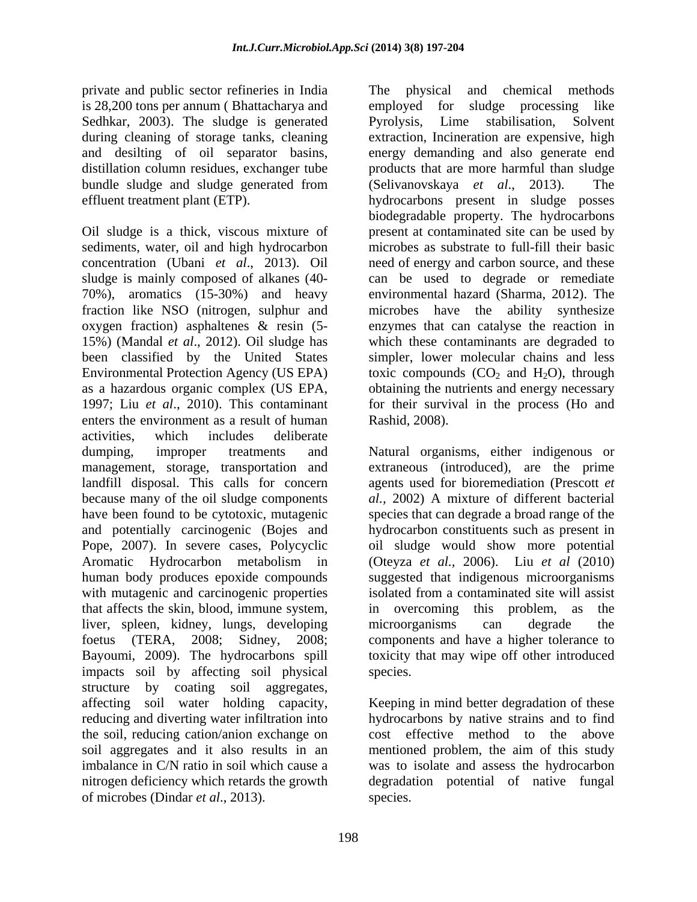private and public sector refineries in India is 28,200 tons per annum (Bhattacharya and employed for sludge processing like Sedhkar, 2003). The sludge is generated Pyrolysis, Lime stabilisation, Solvent bundle sludge and sludge generated from (Selivanovskaya *et al.*, 2013). The

Oil sludge is a thick, viscous mixture of sediments, water, oil and high hydrocarbon concentration (Ubani *et al*., 2013). Oil need of energy and carbon source, and these sludge is mainly composed of alkanes (40- can be used to degrade or remediate 70%), aromatics (15-30%) and heavy environmental hazard (Sharma, 2012). The fraction like NSO (nitrogen, sulphur and microbes have the ability synthesize oxygen fraction) asphaltenes & resin (5- 15%) (Mandal *et al*., 2012). Oil sludge has which these contaminants are degraded to been classified by the United States simpler, lower molecular chains and less Environmental Protection Agency (US EPA) toxic compounds  $(CO_2$  and  $H_2O$ ), through as a hazardous organic complex (US EPA, obtaining the nutrients and energy necessary 1997; Liu *et al*., 2010). This contaminant for their survival in the process (Ho and enters the environment as a result of human activities, which includes deliberate dumping, improper treatments and Natural organisms, either indigenous or management, storage, transportation and landfill disposal. This calls for concern agents used for bioremediation (Prescott *et*  because many of the oil sludge components *al.,* 2002) A mixture of different bacterial have been found to be cytotoxic, mutagenic species that can degrade a broad range of the and potentially carcinogenic (Bojes and hydrocarbon constituents such as present in Pope, 2007). In severe cases, Polycyclic oil sludge would show more potential Aromatic Hydrocarbon metabolism in (Oteyza *et al.,* 2006). Liu *et al* (2010) human body produces epoxide compounds suggested that indigenous microorganisms with mutagenic and carcinogenic properties that affects the skin, blood, immune system, liver, spleen, kidney, lungs, developing microorganisms can degrade the foetus (TERA, 2008; Sidney, 2008; components and have a higher tolerance to Bayoumi, 2009). The hydrocarbons spill impacts soil by affecting soil physical structure by coating soil aggregates,<br>affecting soil water holding capacity, affecting soil water holding capacity, Keeping in mind better degradation of these reducing and diverting water infiltration into the soil, reducing cation/anion exchange on cost effective method to the above soil aggregates and it also results in an mentioned problem, the aim of this study imbalance in C/N ratio in soil which cause a was to isolate and assess the hydrocarbon nitrogen deficiency which retards the growth degradation potential of native fungal of microbes (Dindar *et al*., 2013).

during cleaning of storage tanks, cleaning extraction, Incineration are expensive, high and desilting of oil separator basins, energy demanding and also generate end distillation column residues, exchanger tube products that are more harmful than sludge effluent treatment plant (ETP). hydrocarbons present in sludge posses The physical and chemical methods employed for sludge processing like Pyrolysis, Lime stabilisation, Solvent (Selivanovskaya *et al.*, 2013). biodegradable property. The hydrocarbons present at contaminated site can be used by microbes as substrate to full-fill their basic enzymes that can catalyse the reaction in Rashid, 2008).

> extraneous (introduced), are the prime isolated from a contaminated site will assist in overcoming this problem, as the microorganisms can degrade the toxicity that may wipe off other introduced species.

hydrocarbons by native strains and to find species.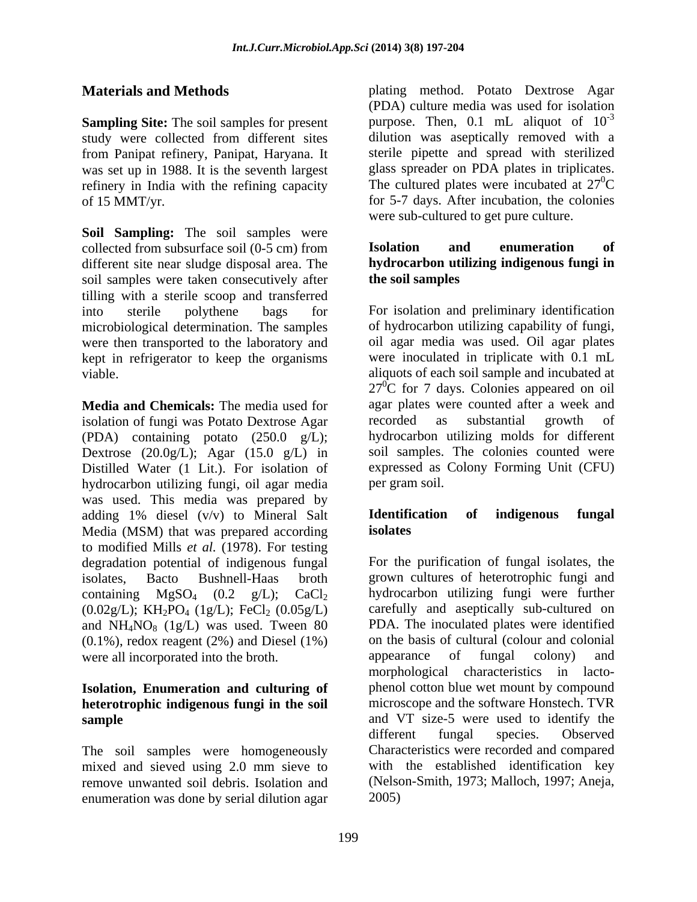**Sampling Site:** The soil samples for present study were collected from different sites from Panipat refinery, Panipat, Haryana. It refinery in India with the refining capacity

**Soil Sampling:** The soil samples were collected from subsurface soil (0-5 cm) from **Isolation** and enumeration of different site near sludge disposal area. The **hydrocarbon utilizing indigenous fungi in** soil samples were taken consecutively after **the soil samples** tilling with a sterile scoop and transferred microbiological determination. The samples of hydrocarbon utilizing capability of fungi, were then transported to the laboratory and oil agar media was used. Oil agar plates were then transported to the laboratory and kept in refrigerator to keep the organisms

**Media and Chemicals:** The media used for agar plates were counted aft isolation of fungi was Potato Dextrose Agar recorded as substantial isolation of fungi was Potato Dextrose Agar recorded as substantial growth of (PDA) containing potato (250.0 g/L); Dextrose  $(20.0g/L)$ ; Agar  $(15.0 g/L)$  in Distilled Water (1 Lit.). For isolation of expressed as<br>hydrocarbon utilizing fungi, oil agar media per gram soil. hydrocarbon utilizing fungi, oil agar media was used. This media was prepared by<br>adding  $1\%$  diesel  $(v/v)$  to Mineral Salt **Identification of indigenous fungal** adding 1% diesel (v/v) to Mineral Salt Media (MSM) that was prepared according isolates to modified Mills *et al.* (1978). For testing degradation potential of indigenous fungal  $(0.02g/L)$ ; KH<sub>2</sub>PO<sub>4</sub> (1g/L); FeCl<sub>2</sub> (0.05g/L) and  $NH_4NO_8$  (1g/L) was used. Tween 80  $(0.1\%)$ , redox reagent  $(2\%)$  and Diesel  $(1\%)$ were all incorporated into the broth. **appearance** of fungal colony) and

## **Isolation, Enumeration and culturing of heterotrophic indigenous fungi in the soil**

The soil samples were homogeneously mixed and sieved using 2.0 mm sieve to remove unwanted soil debris. Isolation and enumeration was done by serial dilution agar

**Materials and Methods plating method.** Potato Dextrose Agar was set up in 1988. It is the seventh largest glass spreader on PDA plates in triplicates. of 15 MMT/yr. for 5-7 days. After incubation, the colonies (PDA) culture media was used for isolation purpose. Then, 0.1 mL aliquot of  $10^{-3}$ -3 dilution was aseptically removed with a sterile pipette and spread with sterilized The cultured plates were incubated at  $27^{\circ}$ C  ${}^{0}C$ were sub-cultured to get pure culture.

# **Isolation and enumeration of the soil samples**

into sterile polythene bags for For isolation and preliminary identification viable. aliquots of each soil sample and incubated at of hydrocarbon utilizing capability of fungi, oil agar media was used. Oil agar plates were inoculated in triplicate with 0.1 mL  $27^{\circ}$ C for 7 days. Colonies appeared on oil agar plates were counted after a week and recorded as substantial growth of hydrocarbon utilizing molds for different soil samples. The colonies counted were expressed as Colony Forming Unit (CFU) per gram soil.

## **Identification of indigenous fungal isolates**

isolates, Bacto Bushnell-Haas broth grown cultures of heterotrophic fungi and containing  $MgSO_4$  (0.2  $g/L$ ); CaCl<sub>2</sub> hydrocarbon utilizing fungi were further **sample** and VT size-5 were used to identify the For the purification of fungal isolates, the carefully and aseptically sub-cultured on PDA. The inoculated plates were identified on the basis of cultural (colour and colonial appearance of fungal colony) and morphological characteristics in lacto phenol cotton blue wet mount by compound microscope and the software Honstech. TVR different fungal species. Observed Characteristics were recorded and compared with the established identification key (Nelson-Smith, 1973; Malloch, 1997; Aneja, 2005)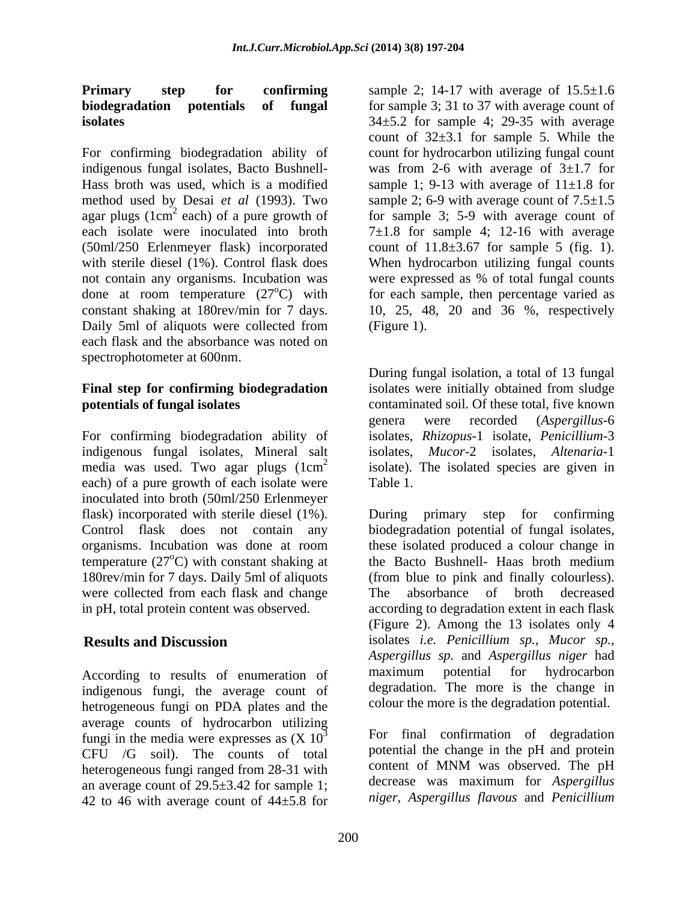For confirming biodegradation ability of not contain any organisms. Incubation was were expressed as % of total fungal counts constant shaking at 180rev/min for 7 days. Daily 5ml of aliquots were collected from (Figure 1). each flask and the absorbance was noted on spectrophotometer at 600nm.

For confirming biodegradation ability of indigenous fungal isolates, Mineral salt media was used. Two agar plugs  $(1 \text{cm}^2)$  isolate). The isolated species are given in each) of a pure growth of each isolate were Table 1. inoculated into broth (50ml/250 Erlenmeyer flask) incorporated with sterile diesel (1%). During primary step for confirming temperature  $(27^{\circ}$ C) with constant shaking at 180rev/min for 7 days. Daily 5ml of aliquots were collected from each flask and change The

indigenous fungi, the average count of hetrogeneous fungi on PDA plates and the average counts of hydrocarbon utilizing fungi in the media were expresses as  $(X 10<sup>3</sup>)$ CFU /G soil). The counts of total potential the change in the pH and protein<br>beterogeneous funcionanced from 28.31 with content of MNM was observed. The pH heterogeneous fungi ranged from 28-31 with an average count of 29.5±3.42 for sample 1; 42 to 46 with average count of  $44\pm5.8$  for

**Primary step for confirming** sample 2; 14-17 with average of 15.5 $\pm$ 1.6 **biodegradation potentials of fungal** for sample 3; 31 to 37 with average count of **isolates** 34±5.2 for sample 4; 29-35 with average indigenous fungal isolates, Bacto Bushnell- was from 2-6 with average of 3±1.7 for Hass broth was used, which is a modified sample 1; 9-13 with average of 11±1.8 for method used by Desai *et al* (1993). Two sample 2; 6-9 with average count of 7.5±1.5 agar plugs ( $1 \text{ cm}^2$  each) of a pure growth of for sample 3; 5-9 with average count of each isolate were inoculated into broth  $7\pm1.8$  for sample 4; 12-16 with average (50ml/250 Erlenmeyer flask) incorporated count of 11.8±3.67 for sample 5 (fig. 1). with sterile diesel (1%). Control flask does When hydrocarbon utilizing fungal counts done at room temperature  $(27^{\circ}C)$  with for each sample, then percentage varied as count of  $32\pm3.1$  for sample 5. While the count for hydrocarbon utilizing fungal count were expressed as % of total fungal counts 10, 25, 48, 20 and 36 %, respectively (Figure 1).

**Final step for confirming biodegradation**  isolates were initially obtained from sludge **potentials of fungal isolates** contaminated soil. Of these total, five known During fungal isolation, <sup>a</sup> total of <sup>13</sup> fungal genera were recorded (*Aspergillus*-6 isolates, *Rhizopus*-1 isolate, *Penicillium*-3 isolates, *Mucor*-2 isolates, *Altenaria*-1 Table 1.

Control flask does not contain any biodegradation potential of fungal isolates, organisms. Incubation was done at room these isolated produced a colour change in the Bacto Bushnell- Haas broth medium in pH, total protein content was observed. according to degradation extent in each flask **Results and Discussion** isolates *i.e. Penicillium sp., Mucor sp.,* According to results of enumeration of maximum potential for hydrocarbon During primary step for confirming the Bacto Bushnell- Haas broth medium (from blue to pink and finally colourless). absorbance of broth decreased (Figure 2). Among the 13 isolates only 4 *Aspergillus sp.* and *Aspergillus niger* had maximum potential for hydrocarbon degradation. The more is the change in colour the more is the degradation potential.

> For final confirmation of degradation For final confirmation of degradation potential the change in the pH and protein content of MNM was observed. The pH decrease was maximum for *Aspergillus niger, Aspergillus flavous* and *Penicillium*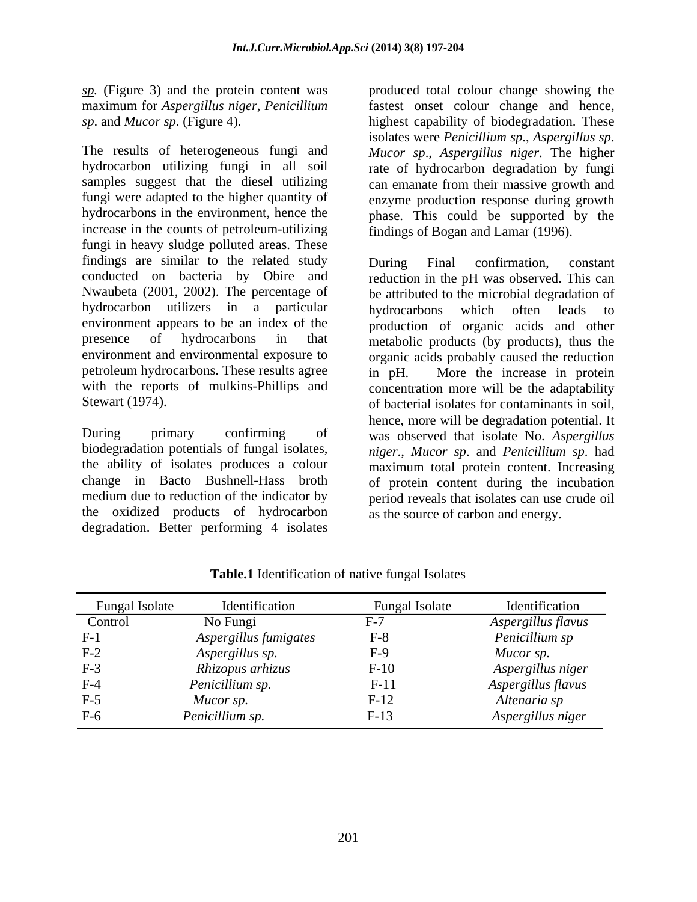*sp.* (Figure 3) and the protein content was

The results of heterogeneous fungiand *Mucor sp*., *Aspergillus niger*. The higher hydrocarbon utilizing fungi in all soil samples suggest that the diesel utilizing can emanate from their massive growth and fungi were adapted to the higher quantity of enzyme production response during growth hydrocarbons in the environment, hence the phase. This could be supported by the increase in the counts of petroleum-utilizing fungi in heavy sludge polluted areas. These findings are similar to the related study buring Final confirmation, constant conducted on bacteria by Obire and reduction in the pH was observed. This can Nwaubeta (2001, 2002). The percentage of hydrocarbon utilizers in a particular hydrocarbons which often leads to environment appears to be an index of the production of organic acids and other presence of hydrocarbons in that metabolic products (by products), thus the environment and environmental exposure to organic acids probably caused the reduction petroleum hydrocarbons. These results agree  $\overrightarrow{in}$  pH. with the reports of mulkins-Phillips and concentration more will be the adaptability

the oxidized products of hydrocarbon degradation. Better performing 4 isolates

maximum for *Aspergillus niger*, *Penicillium*  fastest onset colour change and hence, *sp*. and *Mucor sp*. (Figure 4). highest capability of biodegradation. These produced total colour change showing the isolates were *Penicillium sp*., *Aspergillus sp*. rate of hydrocarbon degradation by fungi findings of Bogan and Lamar (1996).

Stewart (1974). **Stewart** (1974). During primary confirming of was observed that isolate No. *Aspergillus*  biodegradation potentials of fungal isolates, *niger*., *Mucor sp*. and *Penicillium sp*. had the ability of isolates produces a colour maximum total protein content. Increasing change in Bacto Bushnell-Hass broth of protein content during the incubation medium due to reduction of the indicator by period reveals that isolates can use crude oil During Final confirmation, constant be attributed to the microbial degradation of hydrocarbons which often leads to More the increase in protein hence, more will be degradation potential. It as the source of carbon and energy.

| <b>Fungal Isolate</b>            | Identification        | <b>Fungal Isolate</b>        | Identification     |
|----------------------------------|-----------------------|------------------------------|--------------------|
| Control                          | No Fungi              |                              | Aspergillus flavus |
| $F-1$                            | Aspergillus fumigates | $\mathbf{r}$ $\alpha$<br>7−۲ | Penicillium sp     |
| $F-2$                            | Aspergillus sp.       | 2-H                          | Mucor sp.          |
| $F-3$                            | Rhizopus arhizus      | $F-10$                       | Aspergillus niger  |
| $F-4$                            | Penicillium sp.       | $-1$                         | Aspergillus flavus |
| $\mathbf{r}$ $\epsilon$<br>$F-2$ | Mucor sp.             | 7-IZ                         | Altenaria sp       |
| $F-6$                            | Penicillium sp.       | $F-13$                       | Aspergillus niger  |

**Table.1** Identification of native fungal Isolates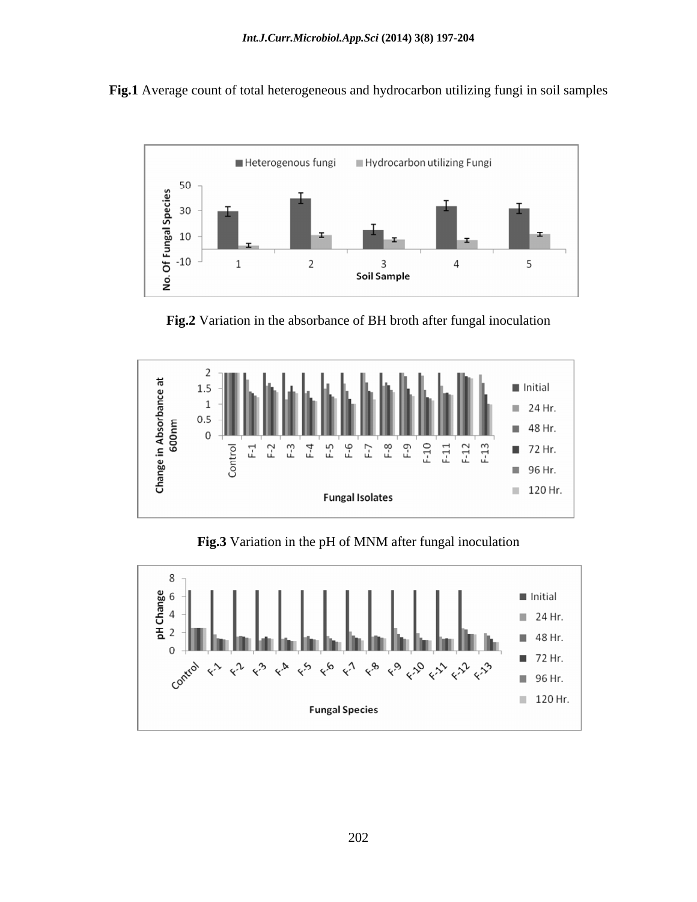**Fig.1** Average count of total heterogeneous and hydrocarbon utilizing fungi in soil samples



**Fig.2** Variation in the absorbance of BH broth after fungal inoculation



**Fig.3** Variation in the pH of MNM after fungal inoculation

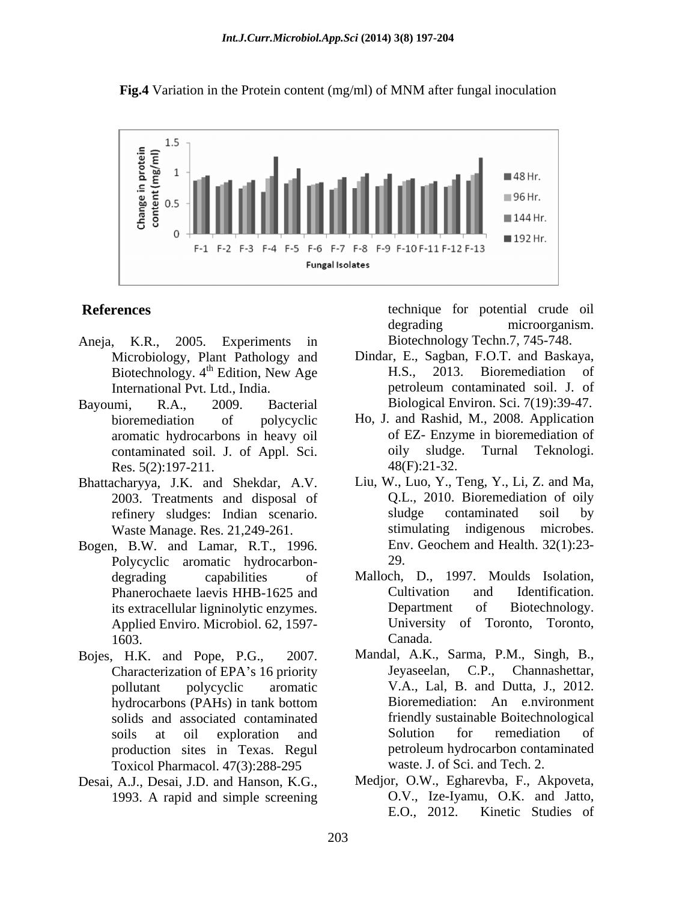



- Aneja, K.R., 2005. Experiments in Biotechnology Techn.7, 745-748. Microbiology, Plant Pathology and Dindar, E., Spintechnology 4<sup>th</sup> Edition New Age H.S.. Biotechnology. 4<sup>th</sup> Edition, New Age
- Bayoumi, R.A., 2009. Bacterial Biological Environ. Sci. 7(19):39-47. contaminated soil. J. of Appl. Sci. oily sludge<br>Res. 5(2):197-211. 48(F):21-32. Res. 5(2):197-211.
- Bhattacharyya, J.K. and Shekdar, A.V. 2003. Treatments and disposal of Waste Manage. Res. 21,249-261.
- Bogen, B.W. and Lamar, R.T., 1996. Polycyclic aromatic hydrocarbon-<br>29. its extracellular ligninolytic enzymes. Applied Enviro. Microbiol. 62, 1597-
- Bojes, H.K. and Pope, P.G., 2007. Mandal, A.K., Sarma, P.M., Singh, B., solids and associated contaminated<br>soils at oil exploration and Solution for remediation Toxicol Pharmacol. 47(3):288-295
- Desai, A.J., Desai, J.D. and Hanson, K.G., 1993. A rapid and simple screening  $0.V., \text{Ize-Iy:}\n\text{E.O., } 2012.$

**References** technique for potential crude oil degrading microorganism.

- $<sup>th</sup>$  Edition, New Age  $H.S.,$  2013. Bioremediation of</sup> International Pvt. Ltd., India. The petroleum contaminated soil. J. of Dindar, E., Sagban, F.O.T. and Baskaya, 2013. Bioremediation of petroleum contaminated soil. J. of
- bioremediation of polycyclic Ho, J. and Rashid, M., 2008. Application aromatic hydrocarbons in heavy oil of EZ- Enzyme in bioremediation of contaminated soil. J. of Appl. Sci. oily sludge. Turnal Teknologi. of EZ- Enzyme in bioremediation of oily sludge. Turnal Teknologi. 48(F):21-32.
- refinery sludges: Indian scenario. Sludge contaminated soil by<br>Waste-Manage Res. 21.249-261. Stimulating indigenous microbes. Liu, W., Luo, Y., Teng, Y., Li, Z. and Ma, Q.L., 2010. Bioremediation of oily sludge contaminated soil by stimulating indigenous microbes. Env. Geochem and Health. 32(1):23- 29.
- degrading capabilities of Malloch, D., 1997. Moulds Isolation, Phanerochaete laevis HHB-1625 and Cultivation and Identification.<br>
its extracellular ligninolytic enzymes. Department of Biotechnology. 1603. Canada. Cultivation and Identification. Department of Biotechnology. University of Toronto, Toronto, Canada.
- Characterization of EPA's 16 priority **Legalian** Jeyaseelan, C.P., Channashettar, pollutant polycyclic aromatic V.A., Lal, B. and Dutta, J., 2012. hydrocarbons (PAHs) in tank bottom Bioremediation: An e.nvironment soils at oil exploration and Solution for remediation of production sites in Texas. Regul Jeyaseelan, C.P., Channashettar, Bioremediation: An e.nvironment friendly sustainable Boitechnological Solution for remediation of petroleum hydrocarbon contaminated waste. J. of Sci. and Tech. 2.
	- Medjor, O.W., Egharevba, F., Akpoveta, O.V., Ize-Iyamu, O.K. and Jatto, E.O., 2012. Kinetic Studies of